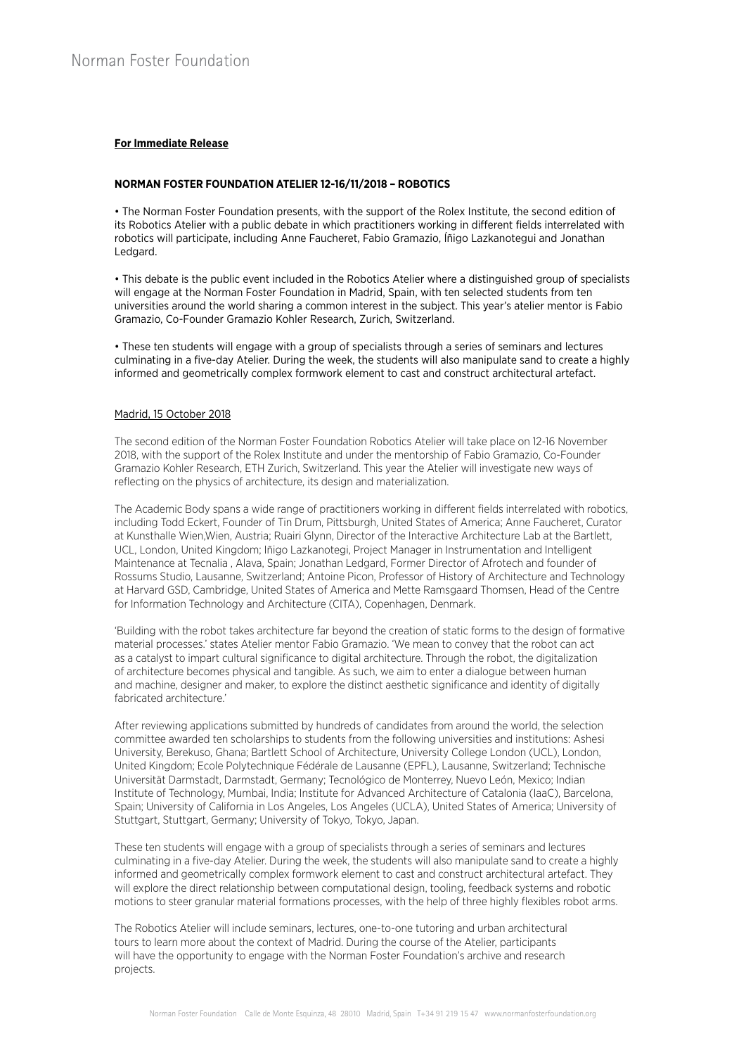# **For Immediate Release**

## **NORMAN FOSTER FOUNDATION ATELIER 12-16/11/2018 – ROBOTICS**

• The Norman Foster Foundation presents, with the support of the Rolex Institute, the second edition of its Robotics Atelier with a public debate in which practitioners working in different fields interrelated with robotics will participate, including Anne Faucheret, Fabio Gramazio, Íñigo Lazkanotegui and Jonathan Ledgard.

• This debate is the public event included in the Robotics Atelier where a distinguished group of specialists will engage at the Norman Foster Foundation in Madrid, Spain, with ten selected students from ten universities around the world sharing a common interest in the subject. This year's atelier mentor is Fabio Gramazio, Co-Founder Gramazio Kohler Research, Zurich, Switzerland.

• These ten students will engage with a group of specialists through a series of seminars and lectures culminating in a five-day Atelier. During the week, the students will also manipulate sand to create a highly informed and geometrically complex formwork element to cast and construct architectural artefact.

#### Madrid, 15 October 2018

The second edition of the Norman Foster Foundation Robotics Atelier will take place on 12-16 November 2018, with the support of the Rolex Institute and under the mentorship of Fabio Gramazio, Co-Founder Gramazio Kohler Research, ETH Zurich, Switzerland. This year the Atelier will investigate new ways of reflecting on the physics of architecture, its design and materialization.

The Academic Body spans a wide range of practitioners working in different fields interrelated with robotics, including Todd Eckert, Founder of Tin Drum, Pittsburgh, United States of America; Anne Faucheret, Curator at Kunsthalle Wien,Wien, Austria; Ruairi Glynn, Director of the Interactive Architecture Lab at the Bartlett, UCL, London, United Kingdom; Iñigo Lazkanotegi, Project Manager in Instrumentation and Intelligent Maintenance at Tecnalia , Alava, Spain; Jonathan Ledgard, Former Director of Afrotech and founder of Rossums Studio, Lausanne, Switzerland; Antoine Picon, Professor of History of Architecture and Technology at Harvard GSD, Cambridge, United States of America and Mette Ramsgaard Thomsen, Head of the Centre for Information Technology and Architecture (CITA), Copenhagen, Denmark.

'Building with the robot takes architecture far beyond the creation of static forms to the design of formative material processes.' states Atelier mentor Fabio Gramazio. 'We mean to convey that the robot can act as a catalyst to impart cultural significance to digital architecture. Through the robot, the digitalization of architecture becomes physical and tangible. As such, we aim to enter a dialogue between human and machine, designer and maker, to explore the distinct aesthetic significance and identity of digitally fabricated architecture.'

After reviewing applications submitted by hundreds of candidates from around the world, the selection committee awarded ten scholarships to students from the following universities and institutions: Ashesi University, Berekuso, Ghana; Bartlett School of Architecture, University College London (UCL), London, United Kingdom; Ecole Polytechnique Fédérale de Lausanne (EPFL), Lausanne, Switzerland; Technische Universität Darmstadt, Darmstadt, Germany; Tecnológico de Monterrey, Nuevo León, Mexico; Indian Institute of Technology, Mumbai, India; Institute for Advanced Architecture of Catalonia (IaaC), Barcelona, Spain; University of California in Los Angeles, Los Angeles (UCLA), United States of America; University of Stuttgart, Stuttgart, Germany; University of Tokyo, Tokyo, Japan.

These ten students will engage with a group of specialists through a series of seminars and lectures culminating in a five-day Atelier. During the week, the students will also manipulate sand to create a highly informed and geometrically complex formwork element to cast and construct architectural artefact. They will explore the direct relationship between computational design, tooling, feedback systems and robotic motions to steer granular material formations processes, with the help of three highly flexibles robot arms.

The Robotics Atelier will include seminars, lectures, one-to-one tutoring and urban architectural tours to learn more about the context of Madrid. During the course of the Atelier, participants will have the opportunity to engage with the Norman Foster Foundation's archive and research projects.